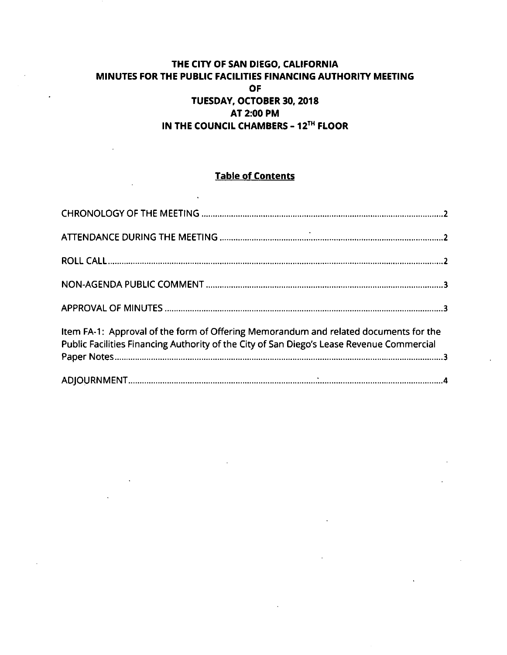# **THE CITY OF SAN DIEGO, CALIFORNIA MINUTES FOR THE PUBLIC FACILITIES FINANCING AUTHORITY MEETING OF TUESDAY, OCTOBER 30, 2018 AT 2:00 PM IN THE COUNCIL CHAMBERS - 12™ FLOOR**

# **Table of Contents**

| Item FA-1: Approval of the form of Offering Memorandum and related documents for the<br>Public Facilities Financing Authority of the City of San Diego's Lease Revenue Commercial |  |
|-----------------------------------------------------------------------------------------------------------------------------------------------------------------------------------|--|
|                                                                                                                                                                                   |  |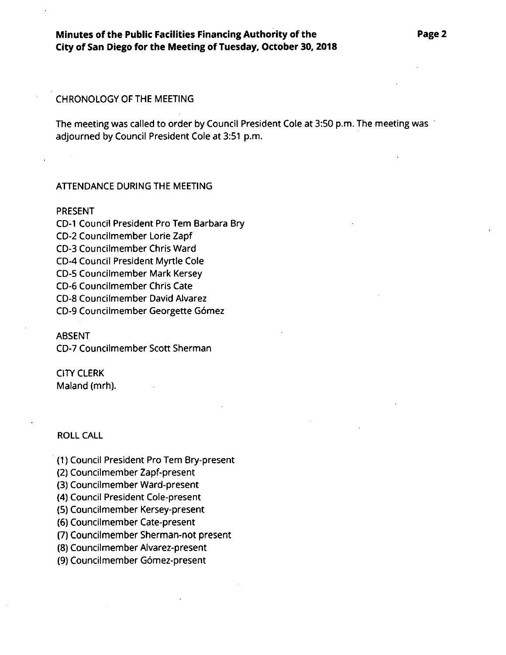### CHRONOLOGY OF THE MEETING

The meeting was called to order by Council President Cole at 3:50 p.m. The meeting was adjourned by Council President Cole at 3:51 p.m.

### ATTENDANCE DURING THE MEETING

#### PRESENT

CD-I Council President Pro Tern Barbara Bry CD-2 Councilmember Lorie Zapf CD-3 Councilmember Chris Ward CD-4 Council President Myrtle Cole CD-5 Councilmember Mark Kersey CD-6 Councilmember Chris Cate CD-8 Councilmember David Alvarez CD-9 Councilmember Georgette Gomez

#### ABSENT

CD-7 Councilmember Scott Sherman

## CITY CLERK Maland (mrh).

ROLL CALL

(1) Council President Pro Tern Bry-present

(2) Councilmember Zapf-present

(3) Councilmember Ward-present

(4) Council President Cole-present

(5) Councilmember Kersey-present

(6) Councilmember Cate-present

(7) Councilmember Sherman-not present

(8) Councilmember Alvarez-present

(9) Councilmember Gomez-present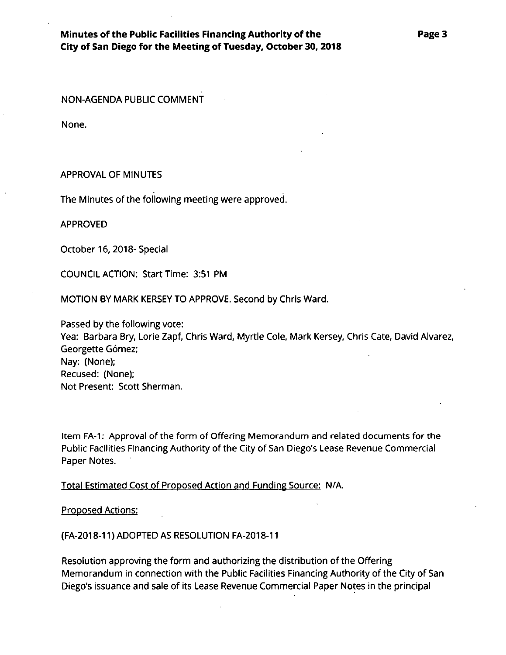## **Minutes ofthe Public Facilities Financing Authority of the City of San Diego for the Meeting of Tuesday, October 30,2018**

NON-AGENDA PUBLIC COMMENT

None.

### APPROVAL OF MINUTES

The Minutes of the following meeting were approved.

APPROVED

October 16,2018- Special

COUNCIL ACTION: Start Time: 3:51 PM

MOTION BY MARK KERSEY TO APPROVE. Second by Chris Ward.

Passed by the following vote: Yea: Barbara Bry, Lorie Zapf, Chris Ward, Myrtle Cote, Mark Kersey, Chris Cate, David Alvarez, Georgette Gómez; Nay: (None); Recused: (None); Not Present: Scott Sherman.

Item FA-1: Approval of the form of Offering Memorandum and related documents for the Public Facilities Financing Authority of the City of San Diego's Lease Revenue Commercial Paper Notes.

## Total Estimated Cost of Proposed Action and Funding Source: N/A.

### Proposed Actions:

### (FA-2018-11) ADOPTED AS RESOLUTION FA-2018-11

Resolution approving the form and authorizing the distribution of the Offering Memorandum in connection with the Public Facilities Financing Authority of the City of San Diego's issuance and sale of its Lease Revenue Commercial Paper Notes in the principal